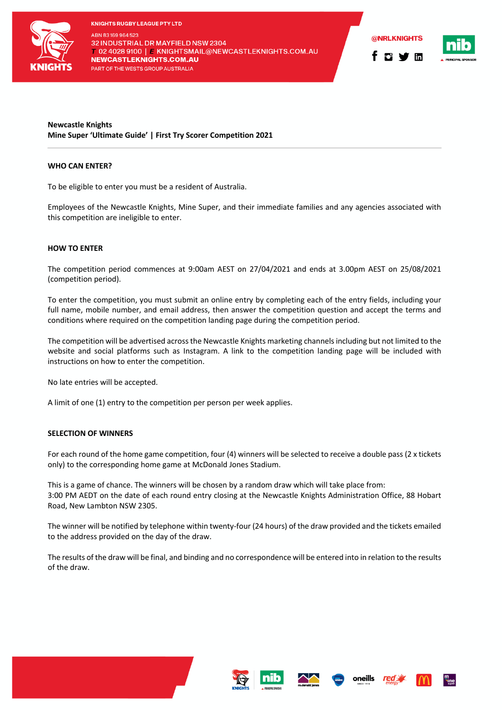

**KNIGHTS RUGBY LEAGUE PTY LTD** ABN 83169964523 32 INDUSTRIAL DR MAYFIELD NSW 2304 T 02 4028 9100 | F KNIGHTSMAIL@NEWCASTLEKNIGHTS.COM.AU **NEWCASTLEKNIGHTS.COM.AU** PART OF THE WESTS GROUP AUSTRALIA



# **Newcastle Knights Mine Super 'Ultimate Guide' | First Try Scorer Competition 2021**

# **WHO CAN ENTER?**

To be eligible to enter you must be a resident of Australia.

Employees of the Newcastle Knights, Mine Super, and their immediate families and any agencies associated with this competition are ineligible to enter.

#### **HOW TO ENTER**

The competition period commences at 9:00am AEST on 27/04/2021 and ends at 3.00pm AEST on 25/08/2021 (competition period).

To enter the competition, you must submit an online entry by completing each of the entry fields, including your full name, mobile number, and email address, then answer the competition question and accept the terms and conditions where required on the competition landing page during the competition period.

The competition will be advertised across the Newcastle Knights marketing channels including but not limited to the website and social platforms such as Instagram. A link to the competition landing page will be included with instructions on how to enter the competition.

No late entries will be accepted.

A limit of one (1) entry to the competition per person per week applies.

# **SELECTION OF WINNERS**

For each round of the home game competition, four (4) winners will be selected to receive a double pass (2 x tickets only) to the corresponding home game at McDonald Jones Stadium.

This is a game of chance. The winners will be chosen by a random draw which will take place from: 3:00 PM AEDT on the date of each round entry closing at the Newcastle Knights Administration Office, 88 Hobart Road, New Lambton NSW 2305.

The winner will be notified by telephone within twenty-four (24 hours) of the draw provided and the tickets emailed to the address provided on the day of the draw.

The results of the draw will be final, and binding and no correspondence will be entered into in relation to the results of the draw.